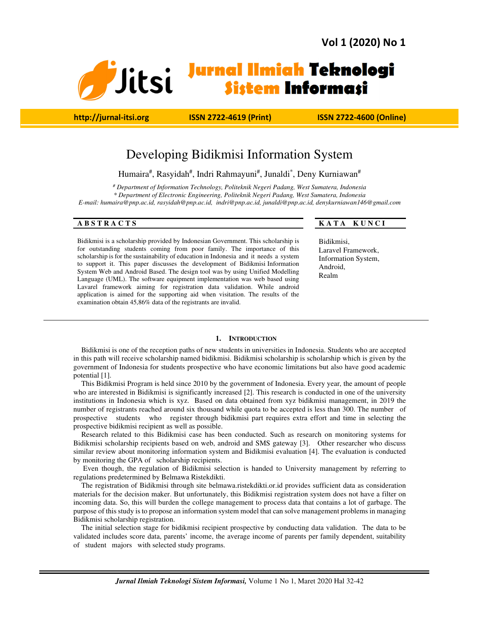

 **http://jurnal-itsi.org ISSN 2722-4619 (Print) ISSN 2722-4600 (Online)**

## Developing Bidikmisi Information System

Humaira#, Rasyidah#, Indri Rahmayuni#, Junaldi\*, Deny Kurniawan#

*# Department of Information Technology, Politeknik Negeri Padang, West Sumatera, Indonesia \* Department of Electronic Engineering, Politeknik Negeri Padang, West Sumatera, Indonesia* 

*E-mail: humaira@pnp.ac.id, rasyidah@pnp.ac.id, indri@pnp.ac.id, junaldi@pnp.ac.id, denykurniawan146@gmail.com* 

Bidikmisi is a scholarship provided by Indonesian Government. This scholarship is for outstanding students coming from poor family. The importance of this scholarship is for the sustainability of education in Indonesia and it needs a system to support it. This paper discusses the development of Bidikmisi Information System Web and Android Based. The design tool was by using Unified Modelling Language (UML). The software equipment implementation was web based using Lavarel framework aiming for registration data validation. While android application is aimed for the supporting aid when visitation. The results of the examination obtain 45,86% data of the registrants are invalid.

#### **ABSTRACTS** KATA KUNCI

Bidikmisi, Laravel Framework, Information System, Android, Realm

#### **1. INTRODUCTION**

Bidikmisi is one of the reception paths of new students in universities in Indonesia. Students who are accepted in this path will receive scholarship named bidikmisi. Bidikmisi scholarship is scholarship which is given by the government of Indonesia for students prospective who have economic limitations but also have good academic potential [1].

This Bidikmisi Program is held since 2010 by the government of Indonesia. Every year, the amount of people who are interested in Bidikmisi is significantly increased [2]. This research is conducted in one of the university institutions in Indonesia which is xyz. Based on data obtained from xyz bidikmisi management, in 2019 the number of registrants reached around six thousand while quota to be accepted is less than 300. The number of prospective students who register through bidikmisi part requires extra effort and time in selecting the prospective bidikmisi recipient as well as possible.

Research related to this Bidikmisi case has been conducted. Such as research on monitoring systems for Bidikmisi scholarship recipients based on web, android and SMS gateway [3]. Other researcher who discuss similar review about monitoring information system and Bidikmisi evaluation [4]. The evaluation is conducted by monitoring the GPA of scholarship recipients.

 Even though, the regulation of Bidikmisi selection is handed to University management by referring to regulations predetermined by Belmawa Ristekdikti.

The registration of Bidikmisi through site belmawa.ristekdikti.or.id provides sufficient data as consideration materials for the decision maker. But unfortunately, this Bidikmisi registration system does not have a filter on incoming data. So, this will burden the college management to process data that contains a lot of garbage. The purpose of this study is to propose an information system model that can solve management problems in managing Bidikmisi scholarship registration.

The initial selection stage for bidikmisi recipient prospective by conducting data validation. The data to be validated includes score data, parents' income, the average income of parents per family dependent, suitability of student majors with selected study programs.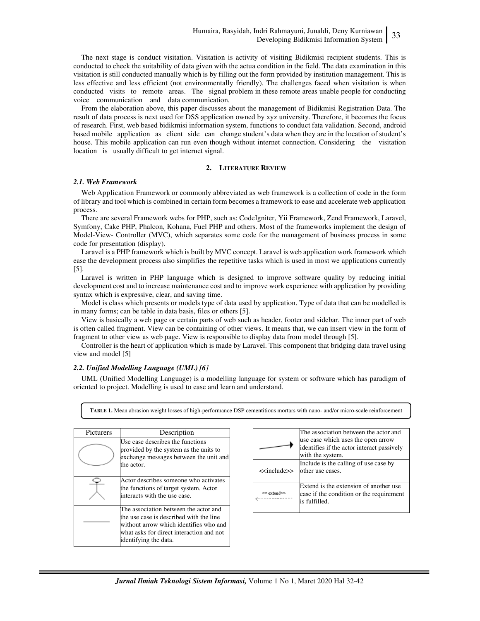The next stage is conduct visitation. Visitation is activity of visiting Bidikmisi recipient students. This is conducted to check the suitability of data given with the actua condition in the field. The data examination in this visitation is still conducted manually which is by filling out the form provided by institution management. This is less effective and less efficient (not environmentally friendly). The challenges faced when visitation is when conducted visits to remote areas. The signal problem in these remote areas unable people for conducting voice communication and data communication.

From the elaboration above, this paper discusses about the management of Bidikmisi Registration Data. The result of data process is next used for DSS application owned by xyz university. Therefore, it becomes the focus of research. First, web based bidikmisi information system, functions to conduct fata validation. Second, android based mobile application as client side can change student's data when they are in the location of student's house. This mobile application can run even though without internet connection. Considering the visitation location is usually difficult to get internet signal.

#### **2. LITERATURE REVIEW**

#### *2.1. Web Framework*

Web Application Framework or commonly abbreviated as web framework is a collection of code in the form of library and tool which is combined in certain form becomes a framework to ease and accelerate web application process.

There are several Framework webs for PHP, such as: CodeIgniter, Yii Framework, Zend Framework, Laravel, Symfony, Cake PHP, Phalcon, Kohana, Fuel PHP and others. Most of the frameworks implement the design of Model-View- Controller (MVC), which separates some code for the management of business process in some code for presentation (display).

Laravel is a PHP framework which is built by MVC concept. Laravel is web application work framework which ease the development process also simplifies the repetitive tasks which is used in most we applications currently [5].

Laravel is written in PHP language which is designed to improve software quality by reducing initial development cost and to increase maintenance cost and to improve work experience with application by providing syntax which is expressive, clear, and saving time.

Model is class which presents or models type of data used by application. Type of data that can be modelled is in many forms; can be table in data basis, files or others [5].

View is basically a web page or certain parts of web such as header, footer and sidebar. The inner part of web is often called fragment. View can be containing of other views. It means that, we can insert view in the form of fragment to other view as web page. View is responsible to display data from model through [5].

Controller is the heart of application which is made by Laravel. This component that bridging data travel using view and model [5]

#### *2.2. Unified Modelling Language (UML) [6]*

UML (Unified Modelling Language) is a modelling language for system or software which has paradigm of oriented to project. Modelling is used to ease and learn and understand.

**TABLE 1.** Mean abrasion weight losses of high-performance DSP cementitious mortars with nano- and/or micro-scale reinforcement

| <b>Picturers</b> | Description                                                                                                                                                                                     |
|------------------|-------------------------------------------------------------------------------------------------------------------------------------------------------------------------------------------------|
|                  | Use case describes the functions<br>provided by the system as the units to<br>exchange messages between the unit and<br>the actor.                                                              |
|                  | Actor describes someone who activates<br>the functions of target system. Actor<br>interacts with the use case.                                                                                  |
|                  | The association between the actor and<br>the use case is described with the line<br>without arrow which identifies who and<br>what asks for direct interaction and not<br>identifying the data. |

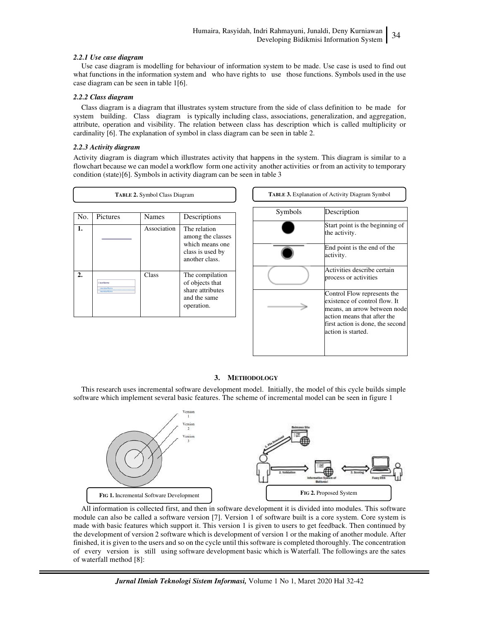#### *2.2.1 Use case diagram*

Use case diagram is modelling for behaviour of information system to be made. Use case is used to find out what functions in the information system and who have rights to use those functions. Symbols used in the use case diagram can be seen in table 1[6].

#### *2.2.2 Class diagram*

Class diagram is a diagram that illustrates system structure from the side of class definition to be made for system building. Class diagram is typically including class, associations, generalization, and aggregation, attribute, operation and visibility. The relation between class has description which is called multiplicity or cardinality [6]. The explanation of symbol in class diagram can be seen in table 2.

#### *2.2.3 Activity diagram*

Activity diagram is diagram which illustrates activity that happens in the system. This diagram is similar to a flowchart because we can model a workflow form one activity another activities or from an activity to temporary condition (state)[6]. Symbols in activity diagram can be seen in table 3

| TABLE 2. Symbol Class Diagram |                         |              |                                                       | <b>TABLE 3.</b> Explanation of Activity Diagram Symbol |                                                                                                                             |
|-------------------------------|-------------------------|--------------|-------------------------------------------------------|--------------------------------------------------------|-----------------------------------------------------------------------------------------------------------------------------|
| No.                           | Pictures                | <b>Names</b> | Descriptions                                          | Symbols                                                | Description                                                                                                                 |
| 1.                            |                         | Association  | The relation<br>among the classes                     |                                                        | Start point is the beginning of<br>the activity.                                                                            |
|                               |                         |              | which means one<br>class is used by<br>another class. |                                                        | End point is the end of the<br>activity.                                                                                    |
| $\overline{2}$ .              | ClassName               | <b>Class</b> | The compilation<br>of objects that                    |                                                        | Activities describe certain<br>process or activities                                                                        |
|                               | memberNami<br>memberNam |              | share attributes<br>and the same<br>operation.        |                                                        | Control Flow represents the<br>existence of control flow. It<br>means, an arrow between node<br>action means that after the |
|                               |                         |              |                                                       |                                                        | first action is done, the second<br>action is started.                                                                      |
|                               |                         |              |                                                       |                                                        |                                                                                                                             |

### **3. METHODOLOGY**

This research uses incremental software development model. Initially, the model of this cycle builds simple software which implement several basic features. The scheme of incremental model can be seen in figure 1



All information is collected first, and then in software development it is divided into modules. This software module can also be called a software version [7]. Version 1 of software built is a core system. Core system is made with basic features which support it. This version 1 is given to users to get feedback. Then continued by the development of version 2 software which is development of version 1 or the making of another module. After finished, it is given to the users and so on the cycle until this software is completed thoroughly. The concentration of every version is still using software development basic which is Waterfall. The followings are the sates of waterfall method [8]: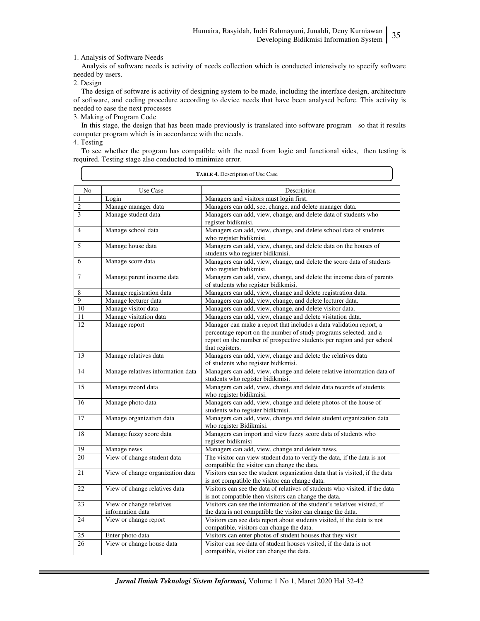1. Analysis of Software Needs

Analysis of software needs is activity of needs collection which is conducted intensively to specify software needed by users.

2. Design

The design of software is activity of designing system to be made, including the interface design, architecture of software, and coding procedure according to device needs that have been analysed before. This activity is needed to ease the next processes

3. Making of Program Code

In this stage, the design that has been made previously is translated into software program so that it results computer program which is in accordance with the needs.

4. Testing

To see whether the program has compatible with the need from logic and functional sides, then testing is required. Testing stage also conducted to minimize error.

| TABLE 4. Description of Use Case |                                   |                                                                                                                               |  |  |
|----------------------------------|-----------------------------------|-------------------------------------------------------------------------------------------------------------------------------|--|--|
| N <sub>0</sub>                   | Use Case<br>Description           |                                                                                                                               |  |  |
| $\mathbf{1}$                     | Login                             | Managers and visitors must login first.                                                                                       |  |  |
| $\overline{2}$                   | Manage manager data               | Managers can add, see, change, and delete manager data.                                                                       |  |  |
| 3                                | Manage student data               | Managers can add, view, change, and delete data of students who                                                               |  |  |
|                                  |                                   | register bidikmisi.                                                                                                           |  |  |
| $\overline{4}$                   | Manage school data                | Managers can add, view, change, and delete school data of students                                                            |  |  |
|                                  |                                   | who register bidikmisi.                                                                                                       |  |  |
| 5                                | Manage house data                 | Managers can add, view, change, and delete data on the houses of                                                              |  |  |
|                                  |                                   | students who register bidikmisi.                                                                                              |  |  |
| 6                                | Manage score data                 | Managers can add, view, change, and delete the score data of students                                                         |  |  |
| 7                                | Manage parent income data         | who register bidikmisi.<br>Managers can add, view, change, and delete the income data of parents                              |  |  |
|                                  |                                   | of students who register bidikmisi.                                                                                           |  |  |
| 8                                | Manage registration data          | Managers can add, view, change and delete registration data.                                                                  |  |  |
| $\overline{9}$                   | Manage lecturer data              | Managers can add, view, change, and delete lecturer data.                                                                     |  |  |
| 10                               | Manage visitor data               | Managers can add, view, change, and delete visitor data.                                                                      |  |  |
| 11                               | Manage visitation data            | Managers can add, view, change and delete visitation data.                                                                    |  |  |
| 12                               | Manage report                     | Manager can make a report that includes a data validation report, a                                                           |  |  |
|                                  |                                   | percentage report on the number of study programs selected, and a                                                             |  |  |
|                                  |                                   | report on the number of prospective students per region and per school                                                        |  |  |
|                                  |                                   | that registers.                                                                                                               |  |  |
| 13                               | Manage relatives data             | Managers can add, view, change and delete the relatives data                                                                  |  |  |
|                                  |                                   | of students who register bidikmisi.                                                                                           |  |  |
| 14                               | Manage relatives information data | Managers can add, view, change and delete relative information data of<br>students who register bidikmisi.                    |  |  |
| 15                               | Manage record data                | Managers can add, view, change and delete data records of students                                                            |  |  |
|                                  |                                   | who register bidikmisi.                                                                                                       |  |  |
| 16                               | Manage photo data                 | Managers can add, view, change and delete photos of the house of                                                              |  |  |
|                                  |                                   | students who register bidikmisi.                                                                                              |  |  |
| 17                               | Manage organization data          | Managers can add, view, change and delete student organization data                                                           |  |  |
|                                  |                                   | who register Bidikmisi.                                                                                                       |  |  |
| 18                               | Manage fuzzy score data           | Managers can import and view fuzzy score data of students who                                                                 |  |  |
|                                  |                                   | register bidikmisi                                                                                                            |  |  |
| 19                               | Manage news                       | Managers can add, view, change and delete news.                                                                               |  |  |
| 20                               | View of change student data       | The visitor can view student data to verify the data, if the data is not                                                      |  |  |
|                                  |                                   | compatible the visitor can change the data.                                                                                   |  |  |
| 21                               | View of change organization data  | Visitors can see the student organization data that is visited, if the data<br>is not compatible the visitor can change data. |  |  |
| 22                               | View of change relatives data     | Visitors can see the data of relatives of students who visited, if the data                                                   |  |  |
|                                  |                                   | is not compatible then visitors can change the data.                                                                          |  |  |
| 23                               | View or change relatives          | Visitors can see the information of the student's relatives visited, if                                                       |  |  |
|                                  | information data                  | the data is not compatible the visitor can change the data.                                                                   |  |  |
| 24                               | View or change report             | Visitors can see data report about students visited, if the data is not                                                       |  |  |
|                                  |                                   | compatible, visitors can change the data.                                                                                     |  |  |
| 25                               | Enter photo data                  | Visitors can enter photos of student houses that they visit                                                                   |  |  |
| 26                               | View or change house data         | Visitor can see data of student houses visited, if the data is not                                                            |  |  |
|                                  |                                   | compatible, visitor can change the data.                                                                                      |  |  |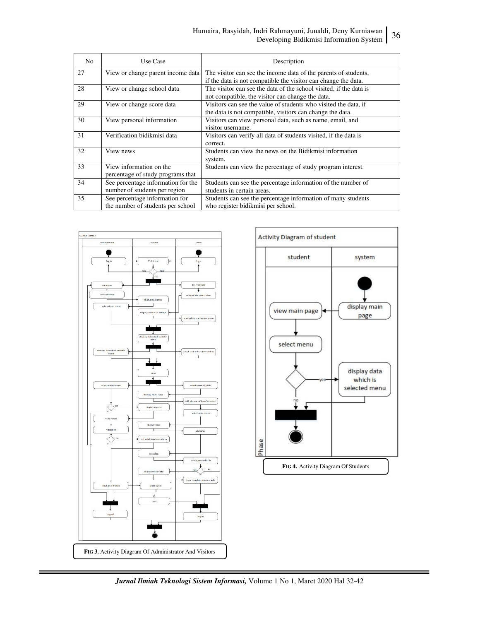# Humaira, Rasyidah, Indri Rahmayuni, Junaldi, Deny Kurniawan Developing Bidikmisi Information System 36

| N <sub>o</sub> | Use Case                                                            | Description                                                                                                                       |
|----------------|---------------------------------------------------------------------|-----------------------------------------------------------------------------------------------------------------------------------|
| 27             | View or change parent income data                                   | The visitor can see the income data of the parents of students,<br>if the data is not compatible the visitor can change the data. |
| 28             | View or change school data                                          | The visitor can see the data of the school visited, if the data is<br>not compatible, the visitor can change the data.            |
| 29             | View or change score data                                           | Visitors can see the value of students who visited the data, if<br>the data is not compatible, visitors can change the data.      |
| 30             | View personal information                                           | Visitors can view personal data, such as name, email, and<br>visitor username.                                                    |
| 31             | Verification bidikmisi data                                         | Visitors can verify all data of students visited, if the data is<br>correct.                                                      |
| 32             | View news                                                           | Students can view the news on the Bidikmisi information<br>system.                                                                |
| 33             | View information on the<br>percentage of study programs that        | Students can view the percentage of study program interest.                                                                       |
| 34             | See percentage information for the<br>number of students per region | Students can see the percentage information of the number of<br>students in certain areas.                                        |
| 35             | See percentage information for<br>the number of students per school | Students can see the percentage information of many students<br>who register bidikmisi per school.                                |



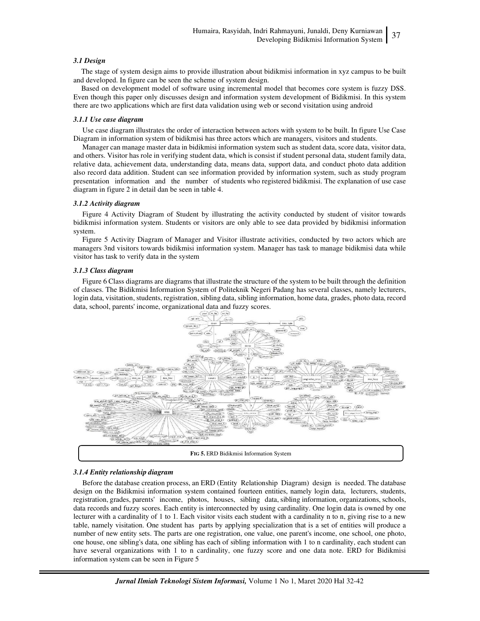#### *3.1 Design*

The stage of system design aims to provide illustration about bidikmisi information in xyz campus to be built and developed. In figure can be seen the scheme of system design.

Based on development model of software using incremental model that becomes core system is fuzzy DSS. Even though this paper only discusses design and information system development of Bidikmisi. In this system there are two applications which are first data validation using web or second visitation using android

#### *3.1.1 Use case diagram*

Use case diagram illustrates the order of interaction between actors with system to be built. In figure Use Case Diagram in information system of bidikmisi has three actors which are managers, visitors and students.

Manager can manage master data in bidikmisi information system such as student data, score data, visitor data, and others. Visitor has role in verifying student data, which is consist if student personal data, student family data, relative data, achievement data, understanding data, means data, support data, and conduct photo data addition also record data addition. Student can see information provided by information system, such as study program presentation information and the number of students who registered bidikmisi. The explanation of use case diagram in figure 2 in detail dan be seen in table 4.

#### *3.1.2 Activity diagram*

Figure 4 Activity Diagram of Student by illustrating the activity conducted by student of visitor towards bidikmisi information system. Students or visitors are only able to see data provided by bidikmisi information system.

Figure 5 Activity Diagram of Manager and Visitor illustrate activities, conducted by two actors which are managers 3nd visitors towards bidikmisi information system. Manager has task to manage bidikmisi data while visitor has task to verify data in the system

#### *3.1.3 Class diagram*

Figure 6 Class diagrams are diagrams that illustrate the structure of the system to be built through the definition of classes. The Bidikmisi Information System of Politeknik Negeri Padang has several classes, namely lecturers, login data, visitation, students, registration, sibling data, sibling information, home data, grades, photo data, record data, school, parents' income, organizational data and fuzzy scores.



#### *3.1.4 Entity relationship diagram*

Before the database creation process, an ERD (Entity Relationship Diagram) design is needed. The database design on the Bidikmisi information system contained fourteen entities, namely login data, lecturers, students, registration, grades, parents' income, photos, houses, sibling data, sibling information, organizations, schools, data records and fuzzy scores. Each entity is interconnected by using cardinality. One login data is owned by one lecturer with a cardinality of 1 to 1. Each visitor visits each student with a cardinality n to n, giving rise to a new table, namely visitation. One student has parts by applying specialization that is a set of entities will produce a number of new entity sets. The parts are one registration, one value, one parent's income, one school, one photo, one house, one sibling's data, one sibling has each of sibling information with 1 to n cardinality, each student can have several organizations with 1 to n cardinality, one fuzzy score and one data note. ERD for Bidikmisi information system can be seen in Figure 5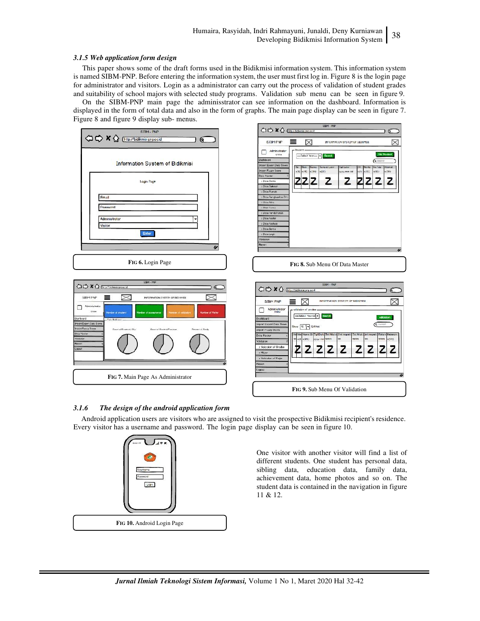#### *3.1.5 Web application form design*

This paper shows some of the draft forms used in the Bidikmisi information system. This information system is named SIBM-PNP. Before entering the information system, the user must first log in. Figure 8 is the login page for administrator and visitors. Login as a administrator can carry out the process of validation of student grades and suitability of school majors with selected study programs. Validation sub menu can be seen in figure 9.

On the SIBM-PNP main page the adminisstrator can see information on the dashboard. Information is displayed in the form of total data and also in the form of graphs. The main page display can be seen in figure 7. Figure 8 and figure 9 display sub- menus.



### *3.1.6 The design of the android application form*

Android application users are visitors who are assigned to visit the prospective Bidikmisi recipient's residence. Every visitor has a username and password. The login page display can be seen in figure 10.



One visitor with another visitor will find a list of different students. One student has personal data, sibling data, education data, family data, achievement data, home photos and so on. The student data is contained in the navigation in figure 11 & 12.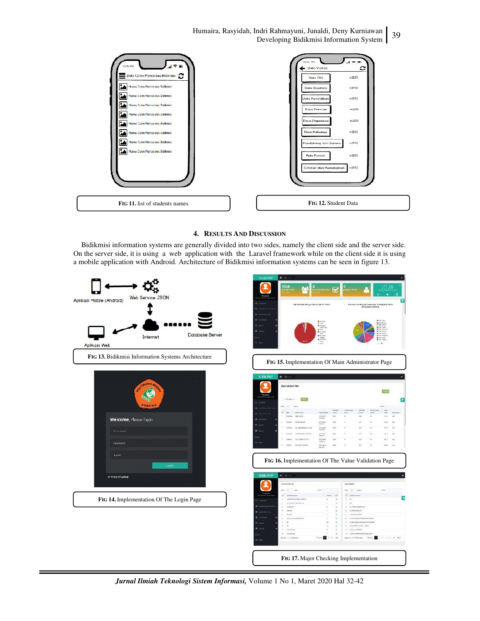Humaira, Rasyidah, Indri Rahmayuni, Junaldi, Deny Kurniawan <sup>39</sup> Developing Bidikmisi Information System



#### **4. RESULTS AND DISCUSSION**

Bidikmisi information systems are generally divided into two sides, namely the client side and the server side. On the server side, it is using a web application with the Laravel framework while on the client side it is using a mobile application with Android. Architecture of Bidikmisi information systems can be seen in figure 13.



*Jurnal Ilmiah Teknologi Sistem Informasi,* Volume 1 No 1, Maret 2020 Hal 32-42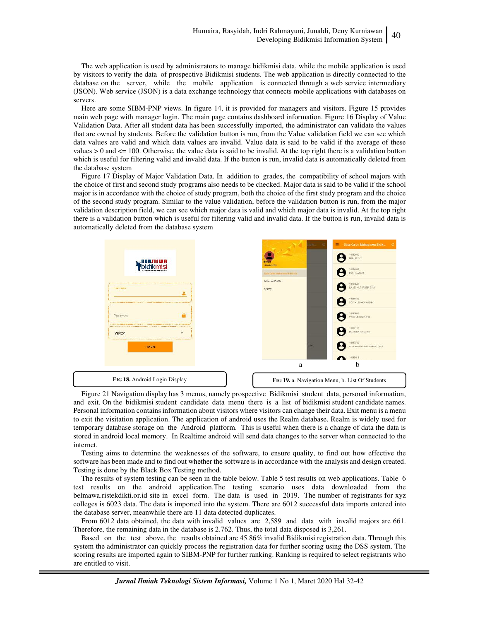The web application is used by administrators to manage bidikmisi data, while the mobile application is used by visitors to verify the data of prospective Bidikmisi students. The web application is directly connected to the database on the server, while the mobile application is connected through a web service intermediary (JSON). Web service (JSON) is a data exchange technology that connects mobile applications with databases on servers.

Here are some SIBM-PNP views. In figure 14, it is provided for managers and visitors. Figure 15 provides main web page with manager login. The main page contains dashboard information. Figure 16 Display of Value Validation Data. After all student data has been successfully imported, the administrator can validate the values that are owned by students. Before the validation button is run, from the Value validation field we can see which data values are valid and which data values are invalid. Value data is said to be valid if the average of these values  $> 0$  and  $\lt$  = 100. Otherwise, the value data is said to be invalid. At the top right there is a validation button which is useful for filtering valid and invalid data. If the button is run, invalid data is automatically deleted from the database system

Figure 17 Display of Major Validation Data. In addition to grades, the compatibility of school majors with the choice of first and second study programs also needs to be checked. Major data is said to be valid if the school major is in accordance with the choice of study program, both the choice of the first study program and the choice of the second study program. Similar to the value validation, before the validation button is run, from the major validation description field, we can see which major data is valid and which major data is invalid. At the top right there is a validation button which is useful for filtering valid and invalid data. If the button is run, invalid data is automatically deleted from the database system



Figure 21 Navigation display has 3 menus, namely prospective Bidikmisi student data, personal information, and exit. On the bidikmisi student candidate data menu there is a list of bidikmisi student candidate names. Personal information contains information about visitors where visitors can change their data. Exit menu is a menu to exit the visitation application. The application of android uses the Realm database. Realm is widely used for temporary database storage on the Android platform. This is useful when there is a change of data the data is stored in android local memory. In Realtime android will send data changes to the server when connected to the internet.

Testing aims to determine the weaknesses of the software, to ensure quality, to find out how effective the software has been made and to find out whether the software is in accordance with the analysis and design created. Testing is done by the Black Box Testing method.

The results of system testing can be seen in the table below. Table 5 test results on web applications. Table 6 test results on the android application.The testing scenario uses data downloaded from the belmawa.ristekdikti.or.id site in excel form. The data is used in 2019. The number of registrants for xyz colleges is 6023 data. The data is imported into the system. There are 6012 successful data imports entered into the database server, meanwhile there are 11 data detected duplicates.

From 6012 data obtained, the data with invalid values are 2,589 and data with invalid majors are 661. Therefore, the remaining data in the database is 2.762. Thus, the total data disposed is 3,261.

Based on the test above, the results obtained are 45.86% invalid Bidikmisi registration data. Through this system the administrator can quickly process the registration data for further scoring using the DSS system. The scoring results are imported again to SIBM-PNP for further ranking. Ranking is required to select registrants who are entitled to visit.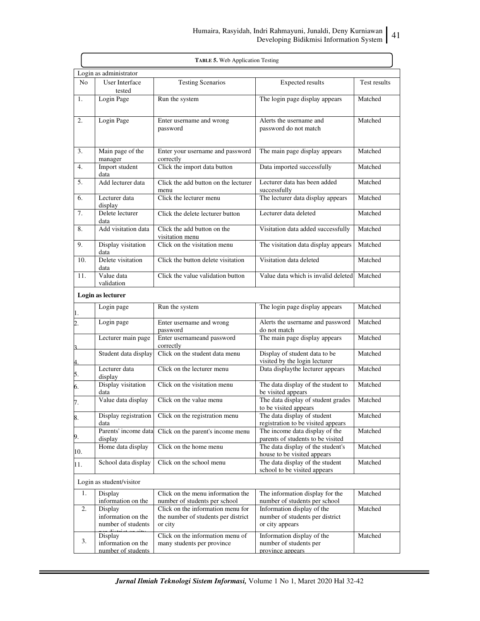|                        | TABLE 5. Web Application Testing                    |                                                                                     |                                                                                  |              |  |
|------------------------|-----------------------------------------------------|-------------------------------------------------------------------------------------|----------------------------------------------------------------------------------|--------------|--|
| Login as administrator |                                                     |                                                                                     |                                                                                  |              |  |
| No                     | User Interface<br>tested                            | <b>Testing Scenarios</b>                                                            | <b>Expected results</b>                                                          | Test results |  |
| 1.                     | Login Page                                          | Run the system                                                                      | The login page display appears                                                   | Matched      |  |
| 2.                     | Login Page                                          | Enter username and wrong<br>password                                                | Alerts the username and<br>password do not match                                 | Matched      |  |
| 3.                     | Main page of the<br>manager                         | Enter your username and password<br>correctly                                       | The main page display appears                                                    | Matched      |  |
| 4.                     | Import student<br>data                              | Click the import data button                                                        | Data imported successfully                                                       | Matched      |  |
| 5.                     | Add lecturer data                                   | Click the add button on the lecturer<br>menu                                        | Lecturer data has been added<br>successfully                                     | Matched      |  |
| 6.                     | Lecturer data<br>display                            | Click the lecturer menu                                                             | The lecturer data display appears                                                | Matched      |  |
| 7.                     | Delete lecturer<br>data                             | Click the delete lecturer button                                                    | Lecturer data deleted                                                            | Matched      |  |
| 8.                     | Add visitation data                                 | Click the add button on the<br>visitation menu                                      | Visitation data added successfully                                               | Matched      |  |
| 9.                     | Display visitation<br>data                          | Click on the visitation menu                                                        | The visitation data display appears                                              | Matched      |  |
| 10.                    | Delete visitation<br>data                           | Click the button delete visitation                                                  | Visitation data deleted                                                          | Matched      |  |
| 11.                    | Value data<br>validation                            | Click the value validation button                                                   | Value data which is invalid deleted                                              | Matched      |  |
|                        | Login as lecturer                                   |                                                                                     |                                                                                  |              |  |
| 1.                     | Login page                                          | Run the system                                                                      | The login page display appears                                                   | Matched      |  |
| $\overline{2}$ .       | Login page                                          | Enter username and wrong<br>password                                                | Alerts the username and password<br>do not match                                 | Matched      |  |
| $\mathbf{r}$           | Lecturer main page                                  | Enter usernameand password<br>correctly                                             | The main page display appears                                                    | Matched      |  |
|                        | Student data display                                | Click on the student data menu                                                      | Display of student data to be<br>visited by the login lecturer                   | Matched      |  |
| $rac{4}{5}$ .          | Lecturer data<br>display                            | Click on the lecturer menu                                                          | Data displaythe lecturer appears                                                 | Matched      |  |
| 6.                     | Display visitation<br>data                          | Click on the visitation menu                                                        | The data display of the student to<br>be visited appears                         | Matched      |  |
| 7.                     | Value data display                                  | Click on the value menu                                                             | The data display of student grades<br>to be visited appears                      | Matched      |  |
| 8.                     | Display registration<br>data                        | Click on the registration menu                                                      | The data display of student<br>registration to be visited appears                | Matched      |  |
| 9.                     | Parents' income data<br>display                     | Click on the parent's income menu                                                   | The income data display of the<br>parents of students to be visited              | Matched      |  |
| 10.                    | Home data display                                   | Click on the home menu                                                              | The data display of the student's<br>house to be visited appears                 | Matched      |  |
| 11.                    | School data display                                 | Click on the school menu                                                            | The data display of the student<br>school to be visited appears                  | Matched      |  |
|                        | Login as student/visitor                            |                                                                                     |                                                                                  |              |  |
| 1.                     | Display<br>information on the                       | Click on the menu information the<br>number of students per school                  | The information display for the<br>number of students per school                 | Matched      |  |
| 2.                     | Display<br>information on the<br>number of students | Click on the information menu for<br>the number of students per district<br>or city | Information display of the<br>number of students per district<br>or city appears | Matched      |  |
| 3.                     | Display<br>information on the<br>number of students | Click on the information menu of<br>many students per province                      | Information display of the<br>number of students per<br>province appears         | Matched      |  |